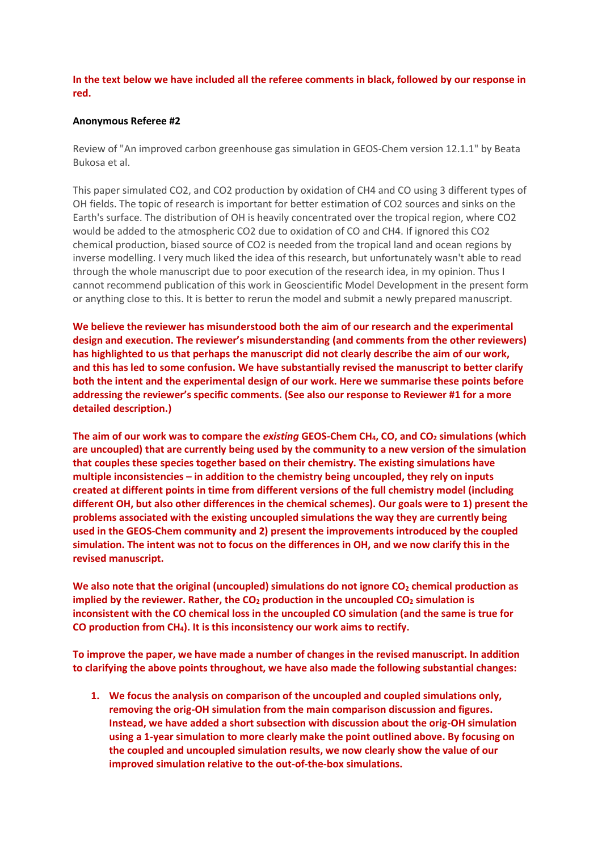**In the text below we have included all the referee comments in black, followed by our response in red.**

## **Anonymous Referee #2**

Review of "An improved carbon greenhouse gas simulation in GEOS-Chem version 12.1.1" by Beata Bukosa et al.

This paper simulated CO2, and CO2 production by oxidation of CH4 and CO using 3 different types of OH fields. The topic of research is important for better estimation of CO2 sources and sinks on the Earth's surface. The distribution of OH is heavily concentrated over the tropical region, where CO2 would be added to the atmospheric CO2 due to oxidation of CO and CH4. If ignored this CO2 chemical production, biased source of CO2 is needed from the tropical land and ocean regions by inverse modelling. I very much liked the idea of this research, but unfortunately wasn't able to read through the whole manuscript due to poor execution of the research idea, in my opinion. Thus I cannot recommend publication of this work in Geoscientific Model Development in the present form or anything close to this. It is better to rerun the model and submit a newly prepared manuscript.

**We believe the reviewer has misunderstood both the aim of our research and the experimental design and execution. The reviewer's misunderstanding (and comments from the other reviewers) has highlighted to us that perhaps the manuscript did not clearly describe the aim of our work, and this has led to some confusion. We have substantially revised the manuscript to better clarify both the intent and the experimental design of our work. Here we summarise these points before addressing the reviewer's specific comments. (See also our response to Reviewer #1 for a more detailed description.)**

**The aim of our work was to compare the** *existing* **GEOS-Chem CH4, CO, and CO<sup>2</sup> simulations (which are uncoupled) that are currently being used by the community to a new version of the simulation that couples these species together based on their chemistry. The existing simulations have multiple inconsistencies – in addition to the chemistry being uncoupled, they rely on inputs created at different points in time from different versions of the full chemistry model (including different OH, but also other differences in the chemical schemes). Our goals were to 1) present the problems associated with the existing uncoupled simulations the way they are currently being used in the GEOS-Chem community and 2) present the improvements introduced by the coupled simulation. The intent was not to focus on the differences in OH, and we now clarify this in the revised manuscript.**

We also note that the original (uncoupled) simulations do not ignore CO<sub>2</sub> chemical production as **implied by the reviewer. Rather, the CO<sup>2</sup> production in the uncoupled CO<sup>2</sup> simulation is inconsistent with the CO chemical loss in the uncoupled CO simulation (and the same is true for CO production from CH4). It is this inconsistency our work aims to rectify.**

**To improve the paper, we have made a number of changes in the revised manuscript. In addition to clarifying the above points throughout, we have also made the following substantial changes:**

**1. We focus the analysis on comparison of the uncoupled and coupled simulations only, removing the orig-OH simulation from the main comparison discussion and figures. Instead, we have added a short subsection with discussion about the orig-OH simulation using a 1-year simulation to more clearly make the point outlined above. By focusing on the coupled and uncoupled simulation results, we now clearly show the value of our improved simulation relative to the out-of-the-box simulations.**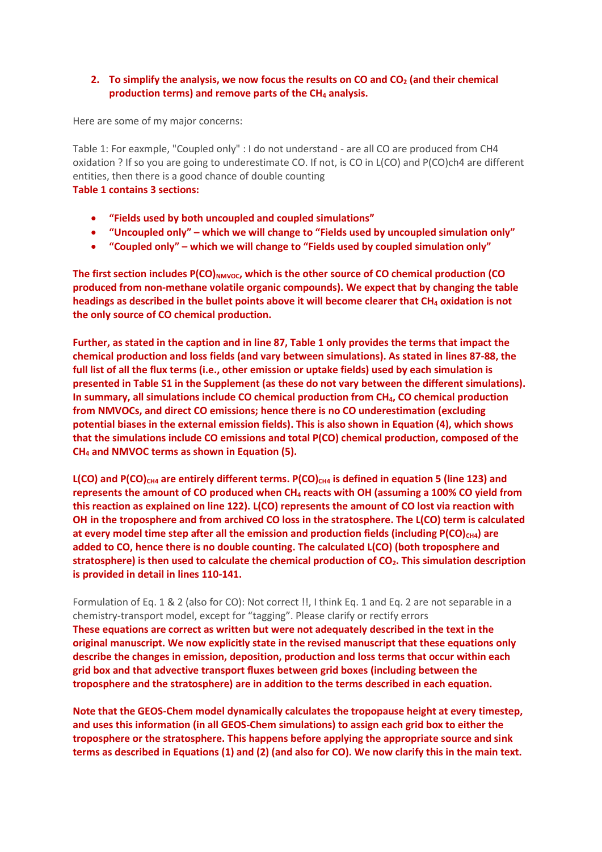## **2. To simplify the analysis, we now focus the results on CO and CO<sup>2</sup> (and their chemical production terms) and remove parts of the CH<sup>4</sup> analysis.**

Here are some of my major concerns:

Table 1: For eaxmple, "Coupled only" : I do not understand - are all CO are produced from CH4 oxidation ? If so you are going to underestimate CO. If not, is CO in L(CO) and P(CO)ch4 are different entities, then there is a good chance of double counting

## **Table 1 contains 3 sections:**

- **"Fields used by both uncoupled and coupled simulations"**
- **"Uncoupled only" – which we will change to "Fields used by uncoupled simulation only"**
- **"Coupled only" – which we will change to "Fields used by coupled simulation only"**

The first section includes P(CO)<sub>NMVOC</sub>, which is the other source of CO chemical production (CO **produced from non-methane volatile organic compounds). We expect that by changing the table headings as described in the bullet points above it will become clearer that CH<sup>4</sup> oxidation is not the only source of CO chemical production.** 

**Further, as stated in the caption and in line 87, Table 1 only provides the terms that impact the chemical production and loss fields (and vary between simulations). As stated in lines 87-88, the full list of all the flux terms (i.e., other emission or uptake fields) used by each simulation is presented in Table S1 in the Supplement (as these do not vary between the different simulations). In summary, all simulations include CO chemical production from CH4, CO chemical production from NMVOCs, and direct CO emissions; hence there is no CO underestimation (excluding potential biases in the external emission fields). This is also shown in Equation (4), which shows that the simulations include CO emissions and total P(CO) chemical production, composed of the CH<sup>4</sup> and NMVOC terms as shown in Equation (5).**

 $L(CO)$  and  $P(CO)_{CH4}$  are entirely different terms.  $P(CO)_{CH4}$  is defined in equation 5 (line 123) and **represents the amount of CO produced when CH<sup>4</sup> reacts with OH (assuming a 100% CO yield from this reaction as explained on line 122). L(CO) represents the amount of CO lost via reaction with OH in the troposphere and from archived CO loss in the stratosphere. The L(CO) term is calculated**  at every model time step after all the emission and production fields (including P(CO)<sub>CH4</sub>) are **added to CO, hence there is no double counting. The calculated L(CO) (both troposphere and stratosphere) is then used to calculate the chemical production of CO2. This simulation description is provided in detail in lines 110-141.**

Formulation of Eq. 1 & 2 (also for CO): Not correct !!, I think Eq. 1 and Eq. 2 are not separable in a chemistry-transport model, except for "tagging". Please clarify or rectify errors **These equations are correct as written but were not adequately described in the text in the original manuscript. We now explicitly state in the revised manuscript that these equations only describe the changes in emission, deposition, production and loss terms that occur within each grid box and that advective transport fluxes between grid boxes (including between the troposphere and the stratosphere) are in addition to the terms described in each equation.**

**Note that the GEOS-Chem model dynamically calculates the tropopause height at every timestep, and uses this information (in all GEOS-Chem simulations) to assign each grid box to either the troposphere or the stratosphere. This happens before applying the appropriate source and sink terms as described in Equations (1) and (2) (and also for CO). We now clarify this in the main text.**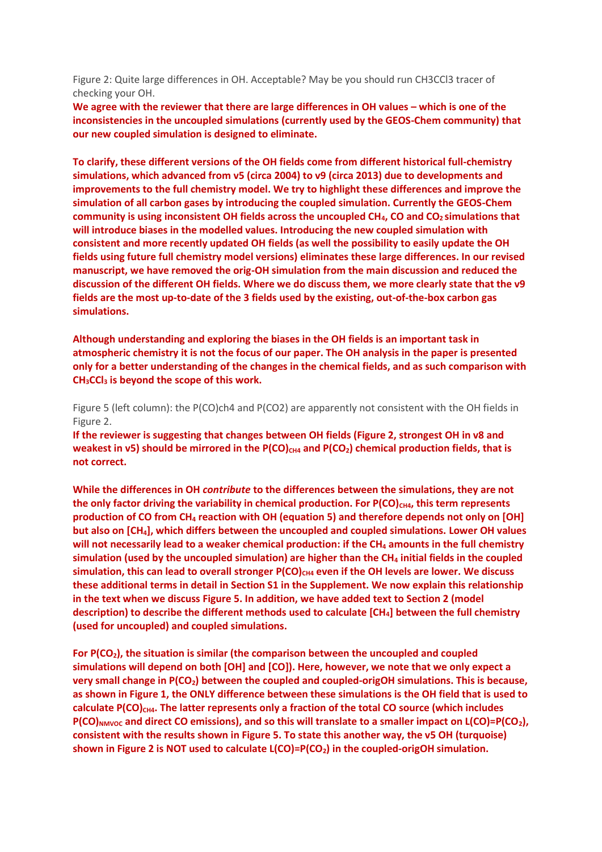Figure 2: Quite large differences in OH. Acceptable? May be you should run CH3CCl3 tracer of checking your OH.

**We agree with the reviewer that there are large differences in OH values – which is one of the inconsistencies in the uncoupled simulations (currently used by the GEOS-Chem community) that our new coupled simulation is designed to eliminate.**

**To clarify, these different versions of the OH fields come from different historical full-chemistry simulations, which advanced from v5 (circa 2004) to v9 (circa 2013) due to developments and improvements to the full chemistry model. We try to highlight these differences and improve the simulation of all carbon gases by introducing the coupled simulation. Currently the GEOS-Chem community is using inconsistent OH fields across the uncoupled CH4, CO and CO2 simulations that will introduce biases in the modelled values. Introducing the new coupled simulation with consistent and more recently updated OH fields (as well the possibility to easily update the OH fields using future full chemistry model versions) eliminates these large differences. In our revised manuscript, we have removed the orig-OH simulation from the main discussion and reduced the discussion of the different OH fields. Where we do discuss them, we more clearly state that the v9 fields are the most up-to-date of the 3 fields used by the existing, out-of-the-box carbon gas simulations.**

**Although understanding and exploring the biases in the OH fields is an important task in atmospheric chemistry it is not the focus of our paper. The OH analysis in the paper is presented only for a better understanding of the changes in the chemical fields, and as such comparison with CH3CCl<sup>3</sup> is beyond the scope of this work.**

Figure 5 (left column): the P(CO)ch4 and P(CO2) are apparently not consistent with the OH fields in Figure 2.

**If the reviewer is suggesting that changes between OH fields (Figure 2, strongest OH in v8 and weakest in v5) should be mirrored in the P(CO)<sub>CH4</sub> and P(CO<sub>2</sub>) chemical production fields, that is not correct.**

**While the differences in OH** *contribute* **to the differences between the simulations, they are not**  the only factor driving the variability in chemical production. For P(CO)<sub>CH4</sub>, this term represents **production of CO from CH<sup>4</sup> reaction with OH (equation 5) and therefore depends not only on [OH] but also on [CH4], which differs between the uncoupled and coupled simulations. Lower OH values will not necessarily lead to a weaker chemical production: if the CH<sup>4</sup> amounts in the full chemistry simulation (used by the uncoupled simulation) are higher than the CH<sup>4</sup> initial fields in the coupled simulation, this can lead to overall stronger P(CO)CH4 even if the OH levels are lower. We discuss these additional terms in detail in Section S1 in the Supplement. We now explain this relationship in the text when we discuss Figure 5. In addition, we have added text to Section 2 (model description) to describe the different methods used to calculate [CH4] between the full chemistry (used for uncoupled) and coupled simulations.**

**For P(CO2), the situation is similar (the comparison between the uncoupled and coupled simulations will depend on both [OH] and [CO]). Here, however, we note that we only expect a very small change in P(CO2) between the coupled and coupled-origOH simulations. This is because, as shown in Figure 1, the ONLY difference between these simulations is the OH field that is used to calculate P(CO)CH4. The latter represents only a fraction of the total CO source (which includes P(CO)NMVOC and direct CO emissions), and so this will translate to a smaller impact on L(CO)=P(CO2), consistent with the results shown in Figure 5. To state this another way, the v5 OH (turquoise) shown in Figure 2 is NOT used to calculate L(CO)=P(CO2) in the coupled-origOH simulation.**